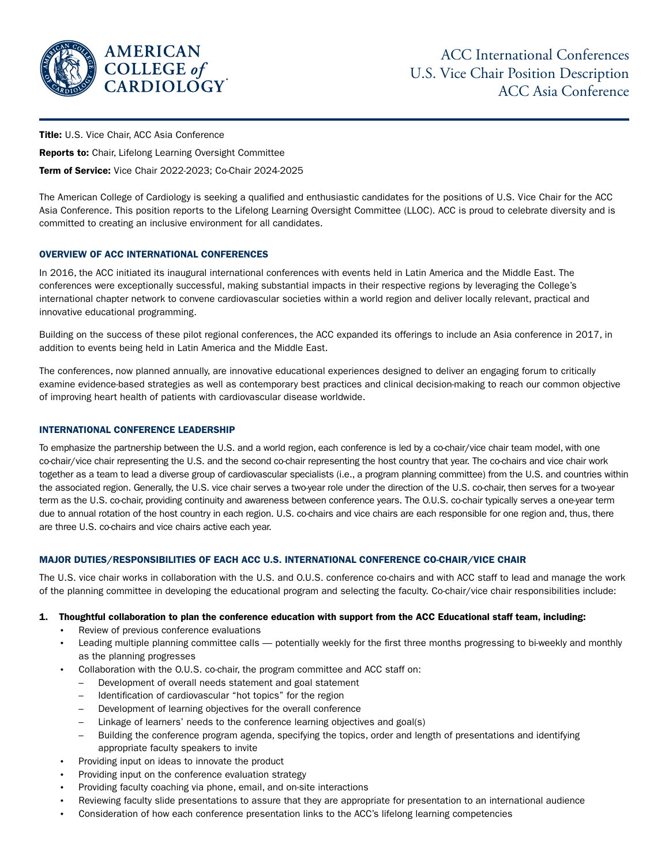

**Title:** U.S. Vice Chair, ACC Asia Conference

Reports to: Chair, Lifelong Learning Oversight Committee

Term of Service: Vice Chair 2022-2023; Co-Chair 2024-2025

The American College of Cardiology is seeking a qualified and enthusiastic candidates for the positions of U.S. Vice Chair for the ACC Asia Conference. This position reports to the Lifelong Learning Oversight Committee (LLOC). ACC is proud to celebrate diversity and is committed to creating an inclusive environment for all candidates.

### OVERVIEW OF ACC INTERNATIONAL CONFERENCES

In 2016, the ACC initiated its inaugural international conferences with events held in Latin America and the Middle East. The conferences were exceptionally successful, making substantial impacts in their respective regions by leveraging the College's international chapter network to convene cardiovascular societies within a world region and deliver locally relevant, practical and innovative educational programming.

Building on the success of these pilot regional conferences, the ACC expanded its offerings to include an Asia conference in 2017, in addition to events being held in Latin America and the Middle East.

The conferences, now planned annually, are innovative educational experiences designed to deliver an engaging forum to critically examine evidence-based strategies as well as contemporary best practices and clinical decision-making to reach our common objective of improving heart health of patients with cardiovascular disease worldwide.

### INTERNATIONAL CONFERENCE LEADERSHIP

To emphasize the partnership between the U.S. and a world region, each conference is led by a co-chair/vice chair team model, with one co-chair/vice chair representing the U.S. and the second co-chair representing the host country that year. The co-chairs and vice chair work together as a team to lead a diverse group of cardiovascular specialists (i.e., a program planning committee) from the U.S. and countries within the associated region. Generally, the U.S. vice chair serves a two-year role under the direction of the U.S. co-chair, then serves for a two-year term as the U.S. co-chair, providing continuity and awareness between conference years. The O.U.S. co-chair typically serves a one-year term due to annual rotation of the host country in each region. U.S. co-chairs and vice chairs are each responsible for one region and, thus, there are three U.S. co-chairs and vice chairs active each year.

### MAJOR DUTIES/RESPONSIBILITIES OF EACH ACC U.S. INTERNATIONAL CONFERENCE CO-CHAIR/VICE CHAIR

The U.S. vice chair works in collaboration with the U.S. and O.U.S. conference co-chairs and with ACC staff to lead and manage the work of the planning committee in developing the educational program and selecting the faculty. Co-chair/vice chair responsibilities include:

### 1. Thoughtful collaboration to plan the conference education with support from the ACC Educational staff team, including:

- Review of previous conference evaluations
- Leading multiple planning committee calls potentially weekly for the first three months progressing to bi-weekly and monthly as the planning progresses
- Collaboration with the O.U.S. co-chair, the program committee and ACC staff on:
	- Development of overall needs statement and goal statement
	- Identification of cardiovascular "hot topics" for the region
	- Development of learning objectives for the overall conference
	- Linkage of learners' needs to the conference learning objectives and goal(s)
	- Building the conference program agenda, specifying the topics, order and length of presentations and identifying appropriate faculty speakers to invite
- Providing input on ideas to innovate the product
- Providing input on the conference evaluation strategy
- Providing faculty coaching via phone, email, and on-site interactions
- Reviewing faculty slide presentations to assure that they are appropriate for presentation to an international audience
- Consideration of how each conference presentation links to the ACC's lifelong learning competencies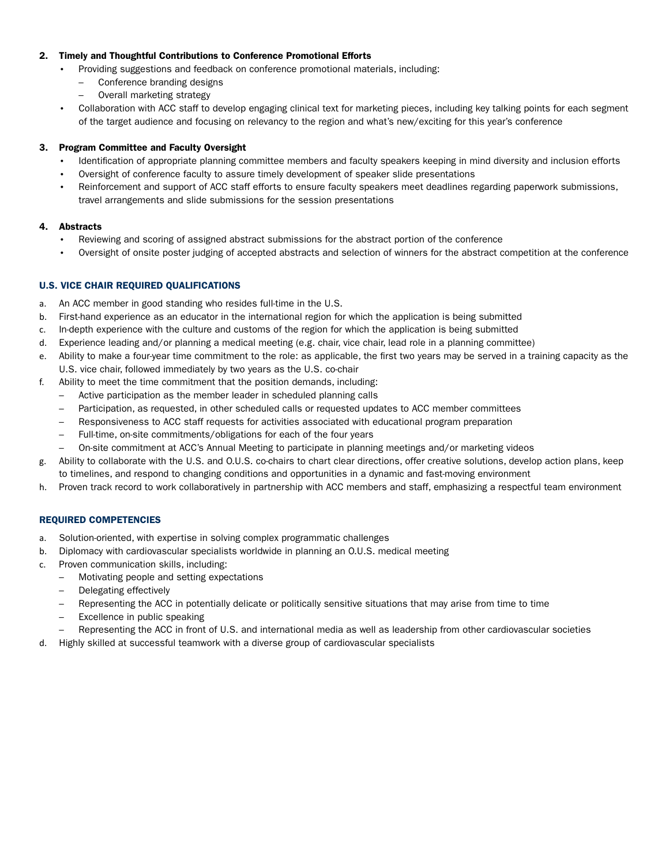### 2. Timely and Thoughtful Contributions to Conference Promotional Efforts

- Providing suggestions and feedback on conference promotional materials, including:
- Conference branding designs
- Overall marketing strategy
- Collaboration with ACC staff to develop engaging clinical text for marketing pieces, including key talking points for each segment of the target audience and focusing on relevancy to the region and what's new/exciting for this year's conference

# 3. Program Committee and Faculty Oversight

- Identification of appropriate planning committee members and faculty speakers keeping in mind diversity and inclusion efforts
- Oversight of conference faculty to assure timely development of speaker slide presentations
- Reinforcement and support of ACC staff efforts to ensure faculty speakers meet deadlines regarding paperwork submissions, travel arrangements and slide submissions for the session presentations

## 4. Abstracts

- Reviewing and scoring of assigned abstract submissions for the abstract portion of the conference
- Oversight of onsite poster judging of accepted abstracts and selection of winners for the abstract competition at the conference

# U.S. VICE CHAIR REQUIRED QUALIFICATIONS

- a. An ACC member in good standing who resides full-time in the U.S.
- b. First-hand experience as an educator in the international region for which the application is being submitted
- c. In-depth experience with the culture and customs of the region for which the application is being submitted
- d. Experience leading and/or planning a medical meeting (e.g. chair, vice chair, lead role in a planning committee)
- e. Ability to make a four-year time commitment to the role: as applicable, the first two years may be served in a training capacity as the U.S. vice chair, followed immediately by two years as the U.S. co-chair
- f. Ability to meet the time commitment that the position demands, including:
	- Active participation as the member leader in scheduled planning calls
	- Participation, as requested, in other scheduled calls or requested updates to ACC member committees
	- Responsiveness to ACC staff requests for activities associated with educational program preparation
	- Full-time, on-site commitments/obligations for each of the four years
	- On-site commitment at ACC's Annual Meeting to participate in planning meetings and/or marketing videos
- g. Ability to collaborate with the U.S. and O.U.S. co-chairs to chart clear directions, offer creative solutions, develop action plans, keep to timelines, and respond to changing conditions and opportunities in a dynamic and fast-moving environment
- h. Proven track record to work collaboratively in partnership with ACC members and staff, emphasizing a respectful team environment

# REQUIRED COMPETENCIES

- a. Solution-oriented, with expertise in solving complex programmatic challenges
- b. Diplomacy with cardiovascular specialists worldwide in planning an O.U.S. medical meeting
- c. Proven communication skills, including:
	- Motivating people and setting expectations
	- Delegating effectively
	- Representing the ACC in potentially delicate or politically sensitive situations that may arise from time to time
	- Excellence in public speaking
	- Representing the ACC in front of U.S. and international media as well as leadership from other cardiovascular societies
- d. Highly skilled at successful teamwork with a diverse group of cardiovascular specialists